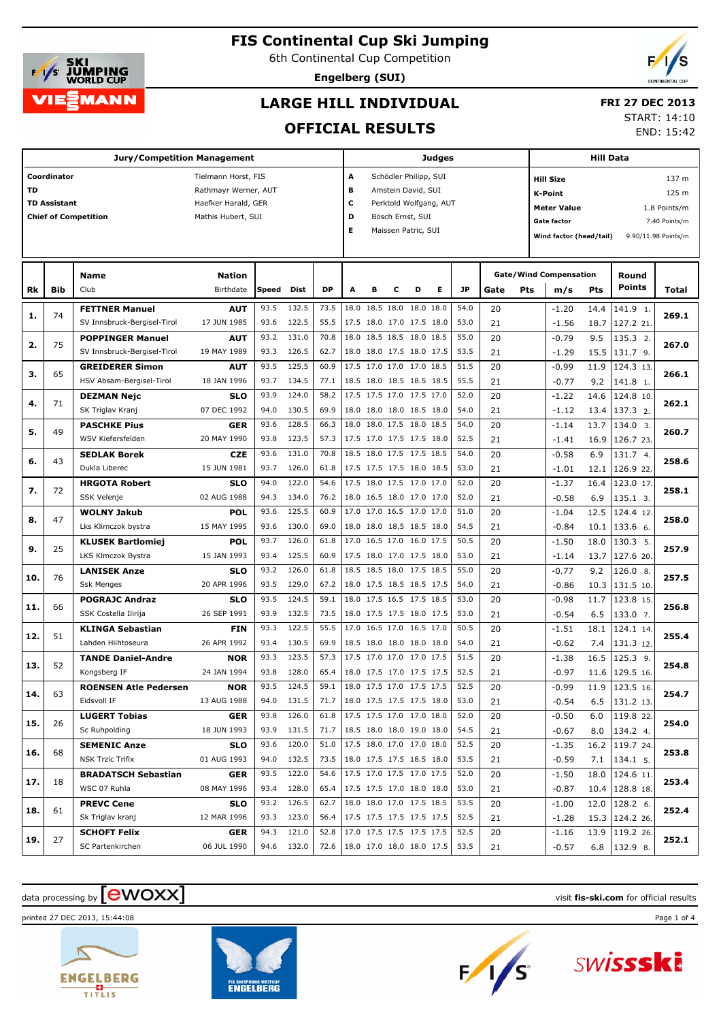

6th Continental Cup Competition

**Engelberg (SUI)**



## **LARGE HILL INDIVIDUAL**

#### **FRI 27 DEC 2013**

#### **OFFICIAL RESULTS**

START: 14:10

END: 15:42

|     |                     | <b>Jury/Competition Management</b> |                      |       |            |                                 |      |           |                |                          | Judges                 |      |      |     |                                   | <b>Hill Data</b> |                   |                     |
|-----|---------------------|------------------------------------|----------------------|-------|------------|---------------------------------|------|-----------|----------------|--------------------------|------------------------|------|------|-----|-----------------------------------|------------------|-------------------|---------------------|
|     | Coordinator         |                                    | Tielmann Horst, FIS  |       |            |                                 | А    |           |                | Schödler Philipp, SUI    |                        |      |      |     | <b>Hill Size</b>                  |                  |                   | 137 m               |
| TD  |                     |                                    | Rathmayr Werner, AUT |       |            |                                 | в    |           |                | Amstein David, SUI       |                        |      |      |     | <b>K-Point</b>                    |                  |                   | 125 m               |
|     | <b>TD Assistant</b> |                                    | Haefker Harald, GER  |       |            |                                 | с    |           |                |                          | Perktold Wolfgang, AUT |      |      |     |                                   |                  |                   |                     |
|     |                     | <b>Chief of Competition</b>        | Mathis Hubert, SUI   |       |            |                                 | D    |           |                | Bösch Ernst, SUI         |                        |      |      |     | <b>Meter Value</b><br>Gate factor |                  | 1.8 Points/m      |                     |
|     |                     |                                    |                      |       |            |                                 | Е    |           |                | Maissen Patric, SUI      |                        |      |      |     |                                   |                  |                   | 7.40 Points/m       |
|     |                     |                                    |                      |       |            |                                 |      |           |                |                          |                        |      |      |     | Wind factor (head/tail)           |                  |                   | 9.90/11.98 Points/m |
|     |                     |                                    |                      |       |            |                                 |      |           |                |                          |                        |      |      |     |                                   |                  |                   |                     |
|     |                     | Name                               | <b>Nation</b>        |       |            |                                 |      |           |                |                          |                        |      |      |     | <b>Gate/Wind Compensation</b>     |                  | Round             |                     |
| Rk  | Bib                 | Club                               | Birthdate            | Speed | Dist       | <b>DP</b>                       | A    | в         | с              | D                        | Е                      | JP   | Gate | Pts | m/s                               | <b>Pts</b>       | <b>Points</b>     | Total               |
|     | 74                  | <b>FETTNER Manuel</b>              | <b>AUT</b>           | 93.5  | 132.5      | 73.5                            |      |           | 18.0 18.5 18.0 | 18.0 18.0                |                        | 54.0 | 20   |     | $-1.20$                           | 14.4             | 141.9 1.          | 269.1               |
| 1.  |                     | SV Innsbruck-Bergisel-Tirol        | 17 JUN 1985          | 93.6  | 122.5      | 55.5                            |      |           |                | 17.5 18.0 17.0 17.5 18.0 |                        | 53.0 | 21   |     | $-1.56$                           | 18.7             | 127.2 21.         |                     |
| 2.  | 75                  | <b>POPPINGER Manuel</b>            | <b>AUT</b>           | 93.2  | 131.0      | 70.8                            | 18.0 |           |                | 18.5 18.5 18.0 18.5      |                        | 55.0 | 20   |     | $-0.79$                           | 9.5              | 135.3 2.          | 267.0               |
|     |                     | SV Innsbruck-Bergisel-Tirol        | 19 MAY 1989          | 93.3  | 126.5      | 62.7                            |      |           |                | 18.0 18.0 17.5 18.0 17.5 |                        | 53.5 | 21   |     | $-1.29$                           | 15.5             | 131.7 9.          |                     |
| з.  | 65                  | <b>GREIDERER Simon</b>             | <b>AUT</b>           | 93.5  | 125.5      | 60.9                            |      |           |                | 17.5 17.0 17.0 17.0 18.5 |                        | 51.5 | 20   |     | $-0.99$                           | 11.9             | 124.3 13.         | 266.1               |
|     |                     | HSV Absam-Bergisel-Tirol           | 18 JAN 1996          | 93.7  | 134.5      | 77.1                            |      |           |                | 18.5 18.0 18.5 18.5 18.5 |                        | 55.5 | 21   |     | $-0.77$                           | 9.2              | 141.8 1.          |                     |
| 4.  | 71                  | <b>DEZMAN Nejc</b>                 | <b>SLO</b>           | 93.9  | 124.0      | 58.2                            |      |           |                | 17.5 17.5 17.0 17.5 17.0 |                        | 52.0 | 20   |     | $-1.22$                           | 14.6             | 124.8 10.         | 262.1               |
|     |                     | SK Triglav Kranj                   | 07 DEC 1992          | 94.0  | 130.5      | 69.9                            |      |           |                | 18.0 18.0 18.0 18.5 18.0 |                        | 54.0 | 21   |     | $-1.12$                           | 13.4             | 137.3 2.          |                     |
| 5.  | 49                  | <b>PASCHKE Pius</b>                | <b>GER</b>           | 93.6  | 128.5      | 66.3                            | 18.0 |           |                | 18.0 17.5 18.0 18.5      |                        | 54.0 | 20   |     | $-1.14$                           | 13.7             | 134.0 3.          | 260.7               |
|     |                     | WSV Kiefersfelden                  | 20 MAY 1990          | 93.8  | 123.5      | 57.3                            |      |           |                | 17.5 17.0 17.5 17.5 18.0 |                        | 52.5 | 21   |     | $-1.41$                           | 16.9             | 126.7 23.         |                     |
| 6.  | 43                  | <b>SEDLAK Borek</b>                | <b>CZE</b>           | 93.6  | 131.0      | 70.8                            |      |           |                | 18.5 18.0 17.5 17.5 18.5 |                        | 54.0 | 20   |     | $-0.58$                           | 6.9              | 131.7 4.          | 258.6               |
|     |                     | Dukla Liberec                      | 15 JUN 1981          | 93.7  | 126.0      | 61.8                            |      |           |                | 17.5 17.5 17.5 18.0 18.5 |                        | 53.0 | 21   |     | $-1.01$                           | 12.1             | 126.9 22.         |                     |
| 7.  | 72                  | <b>HRGOTA Robert</b>               | <b>SLO</b>           | 94.0  | 122.0      | 54.6                            |      |           |                | 17.5 18.0 17.5 17.0 17.0 |                        | 52.0 | 20   |     | $-1.37$                           | 16.4             | 123.0 17.         | 258.1               |
|     |                     | SSK Velenje                        | 02 AUG 1988          | 94.3  | 134.0      | 76.2                            |      |           |                | 18.0 16.5 18.0 17.0 17.0 |                        | 52.0 | 21   |     | $-0.58$                           | 6.9              | 135.1 3.          |                     |
| 8.  | 47                  | <b>WOLNY Jakub</b>                 | POL                  | 93.6  | 125.5      | 60.9                            | 17.0 |           |                | 17.0 16.5 17.0 17.0      |                        | 51.0 | 20   |     | $-1.04$                           | 12.5             | 124.4 12.         | 258.0               |
|     |                     | Lks Klimczok bystra                | 15 MAY 1995          | 93.6  | 130.0      | 69.0                            |      |           |                | 18.0 18.0 18.5 18.5 18.0 |                        | 54.5 | 21   |     | $-0.84$                           | 10.1             | 133.6 6.          |                     |
| 9.  | 25                  | <b>KLUSEK Bartlomiej</b>           | <b>POL</b>           | 93.7  | 126.0      | 61.8                            | 17.0 |           | 16.5 17.0      | 16.0 17.5                |                        | 50.5 | 20   |     | $-1.50$                           | 18.0             | 130.3 5.          | 257.9               |
|     |                     | LKS Klmczok Bystra                 | 15 JAN 1993          | 93.4  | 125.5      | 60.9                            |      |           |                | 17.5 18.0 17.0 17.5 18.0 |                        | 53.0 | 21   |     | $-1.14$                           | 13.7             | 127.6 20.         |                     |
| 10. | 76                  | <b>LANISEK Anze</b>                | <b>SLO</b>           | 93.2  | 126.0      | 61.8                            |      |           |                | 18.5 18.5 18.0 17.5 18.5 |                        | 55.0 | 20   |     | $-0.77$                           | 9.2              | 126.0 8.          | 257.5               |
|     |                     | <b>Ssk Menges</b>                  | 20 APR 1996          | 93.5  | 129.0      | 67.2                            |      |           |                | 18.0 17.5 18.5 18.5 17.5 |                        | 54.0 | 21   |     | $-0.86$                           | 10.3             | 131.5 10.         |                     |
| 11. | 66                  | <b>POGRAJC Andraz</b>              | <b>SLO</b>           | 93.5  | 124.5      | 59.1                            |      |           |                | 18.0 17.5 16.5 17.5 18.5 |                        | 53.0 | 20   |     | $-0.98$                           | 11.7             | 123.8 15.         | 256.8               |
|     |                     | SSK Costella Ilirija               | 26 SEP 1991          | 93.9  | 132.5      | 73.5                            |      |           |                | 18.0 17.5 17.5 18.0 17.5 |                        | 53.0 | 21   |     | $-0.54$                           | 6.5              | 133.07.           |                     |
| 12. | 51                  | <b>KLINGA Sebastian</b>            | <b>FIN</b>           | 93.3  | 122.5      | 55.5                            | 17.0 | 16.5 17.0 |                | 16.5 17.0                |                        | 50.5 | 20   |     | $-1.51$                           | 18.1             | 124.1 14.         | 255.4               |
|     |                     | Lahden Hiihtoseura                 | 26 APR 1992          | 93.4  | 130.5      | 69.9                            |      |           |                | 18.5 18.0 18.0 18.0 18.0 |                        | 54.0 | 21   |     | $-0.62$                           | 7.4              | 131.3 12.         |                     |
| 13. | 52                  | <b>TANDE Daniel-Andre</b>          | <b>NOR</b>           | 93.3  | 123.5      | 57.3                            |      |           |                | 17.5 17.0 17.0 17.0 17.5 |                        | 51.5 | 20   |     | $-1.38$                           | 16.5             | $125.3$ 9.        | 254.8               |
|     |                     | Kongsberg IF                       | 24 JAN 1994          | 93.8  | 128.0      | 65.4                            |      |           |                | 18.0 17.5 17.0 17.5 17.5 |                        | 52.5 | 21   |     | $-0.97$                           | 11.6             | 129.5 16.         |                     |
| 14. | 63                  | <b>ROENSEN Atle Pedersen</b>       | <b>NOR</b>           | 93.5  | 124.5      | 59.1                            |      |           |                | 18.0 17.5 17.0 17.5 17.5 |                        | 52.5 | 20   |     | $-0.99$                           | 11.9             | 123.5 16.         | 254.7               |
|     |                     | Eidsvoll IF                        | 13 AUG 1988          |       | 94.0 131.5 | 71.7 18.0 17.5 17.5 17.5 18.0   |      |           |                |                          |                        | 53.0 | 21   |     | $-0.54$                           |                  | 6.5   131.2 13.   |                     |
| 15. | 26                  | <b>LUGERT Tobias</b>               | <b>GER</b>           | 93.8  | 126.0      | 61.8                            |      |           |                | 17.5 17.5 17.0 17.0 18.0 |                        | 52.0 | 20   |     | $-0.50$                           | 6.0              | 119.8 22.         | 254.0               |
|     |                     | Sc Ruhpolding                      | 18 JUN 1993          |       | 93.9 131.5 | 71.7                            |      |           |                | 18.5 18.0 18.0 19.0 18.0 |                        | 54.5 | 21   |     | $-0.67$                           |                  | $8.0$   134.2 4.  |                     |
| 16. | 68                  | <b>SEMENIC Anze</b>                | <b>SLO</b>           | 93.6  | 120.0      | 51.0                            |      |           |                | 17.5 18.0 17.0 17.0 18.0 |                        | 52.5 | 20   |     | $-1.35$                           |                  | 16.2 119.7 24.    | 253.8               |
|     |                     | <b>NSK Trzic Trifix</b>            | 01 AUG 1993          |       | 94.0 132.5 | 73.5                            |      |           |                | 18.0 17.5 17.5 18.5 18.0 |                        | 53.5 | 21   |     | $-0.59$                           |                  | $7.1$   134.1 5.  |                     |
| 17. | 18                  | <b>BRADATSCH Sebastian</b>         | <b>GER</b>           |       | 93.5 122.0 | 54.6                            |      |           |                | 17.5 17.0 17.5 17.0 17.5 |                        | 52.0 | 20   |     | $-1.50$                           |                  | 18.0   124.6 11.  | 253.4               |
|     |                     | WSC 07 Ruhla                       | 08 MAY 1996          |       | 93.4 128.0 | 65.4                            |      |           |                | 17.5 17.5 17.0 18.0 18.0 |                        | 53.0 | 21   |     | $-0.87$                           |                  | $10.4$ 128.8 18.  |                     |
| 18. | 61                  | <b>PREVC Cene</b>                  | <b>SLO</b>           | 93.2  | 126.5      | 62.7                            |      |           |                | 18.0 18.0 17.0 17.5 18.5 |                        | 53.5 | 20   |     | $-1.00$                           |                  | $12.0$   128.2 6. | 252.4               |
|     |                     | Sk Triglav kranj                   | 12 MAR 1996          |       | 93.3 123.0 | 56.4                            |      |           |                | 17.5 17.5 17.5 17.5 17.5 |                        | 52.5 | 21   |     | $-1.28$                           |                  | 15.3 124.2 26.    |                     |
| 19. | 27                  | <b>SCHOFT Felix</b>                | <b>GER</b>           | 94.3  | 121.0      | 52.8                            |      |           |                | 17.0 17.5 17.5 17.5 17.5 |                        | 52.5 | 20   |     | $-1.16$                           |                  | 13.9 119.2 26.    | 252.1               |
|     |                     | SC Partenkirchen                   | 06 JUL 1990          |       | 94.6 132.0 | 72.6   18.0 17.0 18.0 18.0 17.5 |      |           |                |                          |                        | 53.5 | 21   |     | $-0.57$                           |                  | $6.8$   132.9 8.  |                     |

# data processing by **CWOXX** and  $\overline{C}$  and  $\overline{C}$  and  $\overline{C}$  and  $\overline{C}$  and  $\overline{C}$  and  $\overline{C}$  and  $\overline{C}$  and  $\overline{C}$  and  $\overline{C}$  and  $\overline{C}$  and  $\overline{C}$  and  $\overline{C}$  and  $\overline{C}$  and  $\overline{C}$  and  $\overline{C}$

printed 27 DEC 2013, 15:44:08 Page 1 of 4





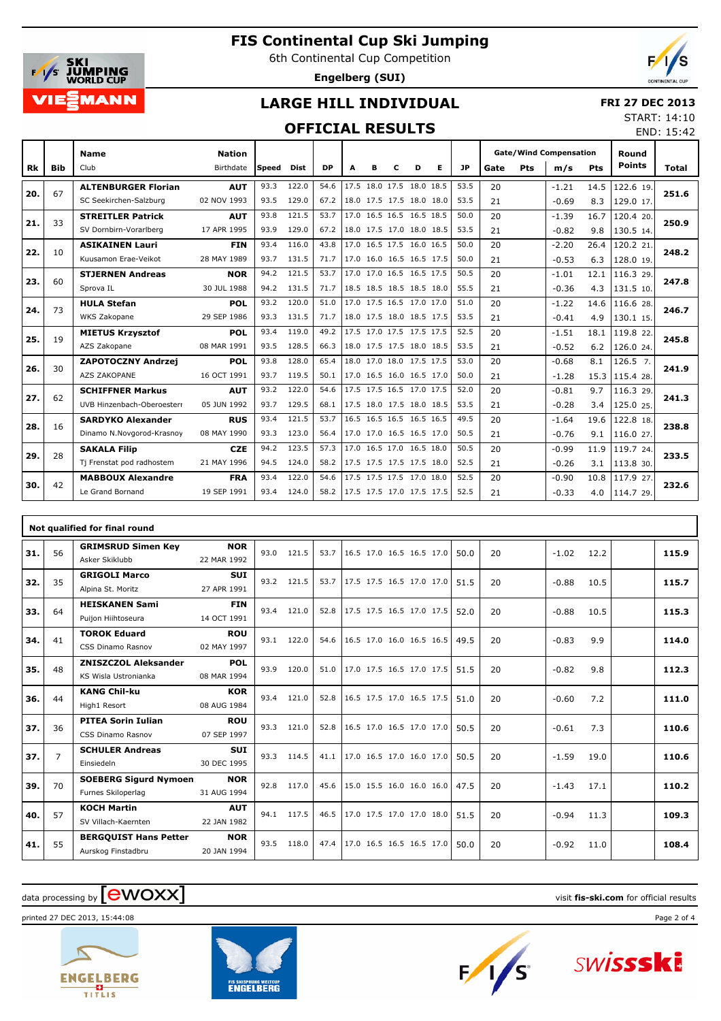

6th Continental Cup Competition





END: 15:42

### **LARGE HILL INDIVIDUAL**

#### **FRI 27 DEC 2013** START: 14:10

#### **OFFICIAL RESULTS**

|     |            | <b>Name</b>                | <b>Nation</b> |        |             |           |   |   |   |                          |                          |           |      |     | <b>Gate/Wind Compensation</b> |            | Round         |       |
|-----|------------|----------------------------|---------------|--------|-------------|-----------|---|---|---|--------------------------|--------------------------|-----------|------|-----|-------------------------------|------------|---------------|-------|
| Rk  | <b>Bib</b> | Club                       | Birthdate     | lSpeed | <b>Dist</b> | <b>DP</b> | A | в | C | D                        | Е                        | <b>JP</b> | Gate | Pts | m/s                           | <b>Pts</b> | <b>Points</b> | Total |
| 20. | 67         | <b>ALTENBURGER Florian</b> | <b>AUT</b>    | 93.3   | 122.0       | 54.6      |   |   |   | 17.5 18.0 17.5 18.0 18.5 |                          | 53.5      | 20   |     | $-1.21$                       | 14.5       | 122.6 19.     | 251.6 |
|     |            | SC Seekirchen-Salzburg     | 02 NOV 1993   | 93.5   | 129.0       | 67.2      |   |   |   | 18.0 17.5 17.5 18.0 18.0 |                          | 53.5      | 21   |     | $-0.69$                       | 8.3        | 129.0 17.     |       |
| 21. | 33         | <b>STREITLER Patrick</b>   | <b>AUT</b>    | 93.8   | 121.5       | 53.7      |   |   |   | 17.0 16.5 16.5 16.5 18.5 |                          | 50.0      | 20   |     | $-1.39$                       | 16.7       | 120.4 20.     | 250.9 |
|     |            | SV Dornbirn-Vorarlberg     | 17 APR 1995   | 93.9   | 129.0       | 67.2      |   |   |   | 18.0 17.5 17.0 18.0 18.5 |                          | 53.5      | 21   |     | $-0.82$                       | 9.8        | 130.5 14.     |       |
| 22. | 10         | <b>ASIKAINEN Lauri</b>     | <b>FIN</b>    | 93.4   | 116.0       | 43.8      |   |   |   | 17.0 16.5 17.5 16.0 16.5 |                          | 50.0      | 20   |     | $-2.20$                       | 26.4       | 120.2 21.     | 248.2 |
|     |            | Kuusamon Erae-Veikot       | 28 MAY 1989   | 93.7   | 131.5       | 71.7      |   |   |   | 17.0 16.0 16.5 16.5 17.5 |                          | 50.0      | 21   |     | $-0.53$                       | 6.3        | 128.0 19.     |       |
| 23. | 60         | <b>STJERNEN Andreas</b>    | <b>NOR</b>    | 94.2   | 121.5       | 53.7      |   |   |   | 17.0 17.0 16.5 16.5 17.5 |                          | 50.5      | 20   |     | $-1.01$                       | 12.1       | 116.3 29.     | 247.8 |
|     |            | Sprova IL                  | 30 JUL 1988   | 94.2   | 131.5       | 71.7      |   |   |   | 18.5 18.5 18.5 18.5 18.0 |                          | 55.5      | 21   |     | $-0.36$                       | 4.3        | 131.5 10.     |       |
| 24. | 73         | <b>HULA Stefan</b>         | <b>POL</b>    | 93.2   | 120.0       | 51.0      |   |   |   | 17.0 17.5 16.5 17.0 17.0 |                          | 51.0      | 20   |     | $-1.22$                       | 14.6       | 116.6 28.     | 246.7 |
|     |            | WKS Zakopane               | 29 SEP 1986   | 93.3   | 131.5       | 71.7      |   |   |   | 18.0 17.5 18.0 18.5 17.5 |                          | 53.5      | 21   |     | $-0.41$                       | 4.9        | 130.1 15.     |       |
| 25. | 19         | <b>MIETUS Krzysztof</b>    | <b>POL</b>    | 93.4   | 119.0       | 49.2      |   |   |   | 17.5 17.0 17.5 17.5 17.5 |                          | 52.5      | 20   |     | $-1.51$                       | 18.1       | 119.8 22.     | 245.8 |
|     |            | AZS Zakopane               | 08 MAR 1991   | 93.5   | 128.5       | 66.3      |   |   |   |                          | 18.0 17.5 17.5 18.0 18.5 | 53.5      | 21   |     | $-0.52$                       | 6.2        | 126.0 24.     |       |
| 26. | 30         | <b>ZAPOTOCZNY Andrzej</b>  | <b>POL</b>    | 93.8   | 128.0       | 65.4      |   |   |   | 18.0 17.0 18.0 17.5 17.5 |                          | 53.0      | 20   |     | $-0.68$                       | 8.1        | 126.5 7.      | 241.9 |
|     |            | AZS ZAKOPANE               | 16 OCT 1991   | 93.7   | 119.5       | 50.1      |   |   |   |                          | 17.0 16.5 16.0 16.5 17.0 | 50.0      | 21   |     | $-1.28$                       | 15.3       | 115.4 28.     |       |
| 27. | 62         | <b>SCHIFFNER Markus</b>    | <b>AUT</b>    | 93.2   | 122.0       | 54.6      |   |   |   | 17.5 17.5 16.5 17.0 17.5 |                          | 52.0      | 20   |     | $-0.81$                       | 9.7        | 116.3 29.     | 241.3 |
|     |            | UVB Hinzenbach-Oberoesterr | 05 JUN 1992   | 93.7   | 129.5       | 68.1      |   |   |   |                          | 17.5 18.0 17.5 18.0 18.5 | 53.5      | 21   |     | $-0.28$                       | 3.4        | 125.0 25.     |       |
| 28. | 16         | <b>SARDYKO Alexander</b>   | <b>RUS</b>    | 93.4   | 121.5       | 53.7      |   |   |   | 16.5 16.5 16.5 16.5 16.5 |                          | 49.5      | 20   |     | $-1.64$                       | 19.6       | 122.8 18.     | 238.8 |
|     |            | Dinamo N.Novgorod-Krasnoy  | 08 MAY 1990   | 93.3   | 123.0       | 56.4      |   |   |   | 17.0 17.0 16.5 16.5 17.0 |                          | 50.5      | 21   |     | $-0.76$                       | 9.1        | 116.0 27.     |       |
| 29. | 28         | <b>SAKALA Filip</b>        | <b>CZE</b>    | 94.2   | 123.5       | 57.3      |   |   |   | 17.0 16.5 17.0 16.5 18.0 |                          | 50.5      | 20   |     | $-0.99$                       | 11.9       | 119.7 24.     | 233.5 |
|     |            | Tj Frenstat pod radhostem  | 21 MAY 1996   | 94.5   | 124.0       | 58.2      |   |   |   | 17.5 17.5 17.5 17.5 18.0 |                          | 52.5      | 21   |     | $-0.26$                       | 3.1        | 113.8 30.     |       |
| 30. | 42         | <b>MABBOUX Alexandre</b>   | <b>FRA</b>    | 93.4   | 122.0       | 54.6      |   |   |   | 17.5 17.5 17.5 17.0 18.0 |                          | 52.5      | 20   |     | $-0.90$                       | 10.8       | 117.9 27.     | 232.6 |
|     |            | Le Grand Bornand           | 19 SEP 1991   | 93.4   | 124.0       | 58.2      |   |   |   |                          | 17.5 17.5 17.0 17.5 17.5 | 52.5      | 21   |     | $-0.33$                       | 4.0        | 114.7 29.     |       |

|     |                | Not qualified for final round                       |                           |      |       |      |                          |  |      |    |         |      |       |
|-----|----------------|-----------------------------------------------------|---------------------------|------|-------|------|--------------------------|--|------|----|---------|------|-------|
| 31. | 56             | <b>GRIMSRUD Simen Key</b><br>Asker Skiklubb         | <b>NOR</b><br>22 MAR 1992 | 93.0 | 121.5 | 53.7 | 16.5 17.0 16.5 16.5 17.0 |  | 50.0 | 20 | $-1.02$ | 12.2 | 115.9 |
| 32. | 35             | <b>GRIGOLI Marco</b><br>Alpina St. Moritz           | <b>SUI</b><br>27 APR 1991 | 93.2 | 121.5 | 53.7 | 17.5 17.5 16.5 17.0 17.0 |  | 51.5 | 20 | $-0.88$ | 10.5 | 115.7 |
| 33. | 64             | <b>HEISKANEN Sami</b><br>Puijon Hiihtoseura         | <b>FIN</b><br>14 OCT 1991 | 93.4 | 121.0 | 52.8 | 17.5 17.5 16.5 17.0 17.5 |  | 52.0 | 20 | $-0.88$ | 10.5 | 115.3 |
| 34. | 41             | <b>TOROK Eduard</b><br>CSS Dinamo Rasnov            | <b>ROU</b><br>02 MAY 1997 | 93.1 | 122.0 | 54.6 | 16.5 17.0 16.0 16.5 16.5 |  | 49.5 | 20 | $-0.83$ | 9.9  | 114.0 |
| 35. | 48             | <b>ZNISZCZOL Aleksander</b><br>KS Wisla Ustronianka | POL<br>08 MAR 1994        | 93.9 | 120.0 | 51.0 | 17.0 17.5 16.5 17.0 17.5 |  | 51.5 | 20 | $-0.82$ | 9.8  | 112.3 |
| 36. | 44             | <b>KANG Chil-ku</b><br>High1 Resort                 | <b>KOR</b><br>08 AUG 1984 | 93.4 | 121.0 | 52.8 | 16.5 17.5 17.0 16.5 17.5 |  | 51.0 | 20 | $-0.60$ | 7.2  | 111.0 |
| 37. | 36             | <b>PITEA Sorin Iulian</b><br>CSS Dinamo Rasnov      | <b>ROU</b><br>07 SEP 1997 | 93.3 | 121.0 | 52.8 | 16.5 17.0 16.5 17.0 17.0 |  | 50.5 | 20 | $-0.61$ | 7.3  | 110.6 |
| 37. | $\overline{7}$ | <b>SCHULER Andreas</b><br>Einsiedeln                | <b>SUI</b><br>30 DEC 1995 | 93.3 | 114.5 | 41.1 | 17.0 16.5 17.0 16.0 17.0 |  | 50.5 | 20 | $-1.59$ | 19.0 | 110.6 |
| 39. | 70             | <b>SOEBERG Sigurd Nymoen</b><br>Furnes Skiloperlag  | <b>NOR</b><br>31 AUG 1994 | 92.8 | 117.0 | 45.6 | 15.0 15.5 16.0 16.0 16.0 |  | 47.5 | 20 | $-1.43$ | 17.1 | 110.2 |
| 40. | 57             | <b>KOCH Martin</b><br>SV Villach-Kaernten           | <b>AUT</b><br>22 JAN 1982 | 94.1 | 117.5 | 46.5 | 17.0 17.5 17.0 17.0 18.0 |  | 51.5 | 20 | $-0.94$ | 11.3 | 109.3 |
| 41. | 55             | <b>BERGQUIST Hans Petter</b><br>Aurskog Finstadbru  | <b>NOR</b><br>20 JAN 1994 | 93.5 | 118.0 | 47.4 | 17.0 16.5 16.5 16.5 17.0 |  | 50.0 | 20 | $-0.92$ | 11.0 | 108.4 |

## data processing by **CWOXX** and  $\overline{C}$  and  $\overline{C}$  and  $\overline{C}$  and  $\overline{C}$  and  $\overline{C}$  and  $\overline{C}$  and  $\overline{C}$  and  $\overline{C}$  and  $\overline{C}$  and  $\overline{C}$  and  $\overline{C}$  and  $\overline{C}$  and  $\overline{C}$  and  $\overline{C}$  and  $\overline{C}$

printed 27 DEC 2013, 15:44:08 Page 2 of 4





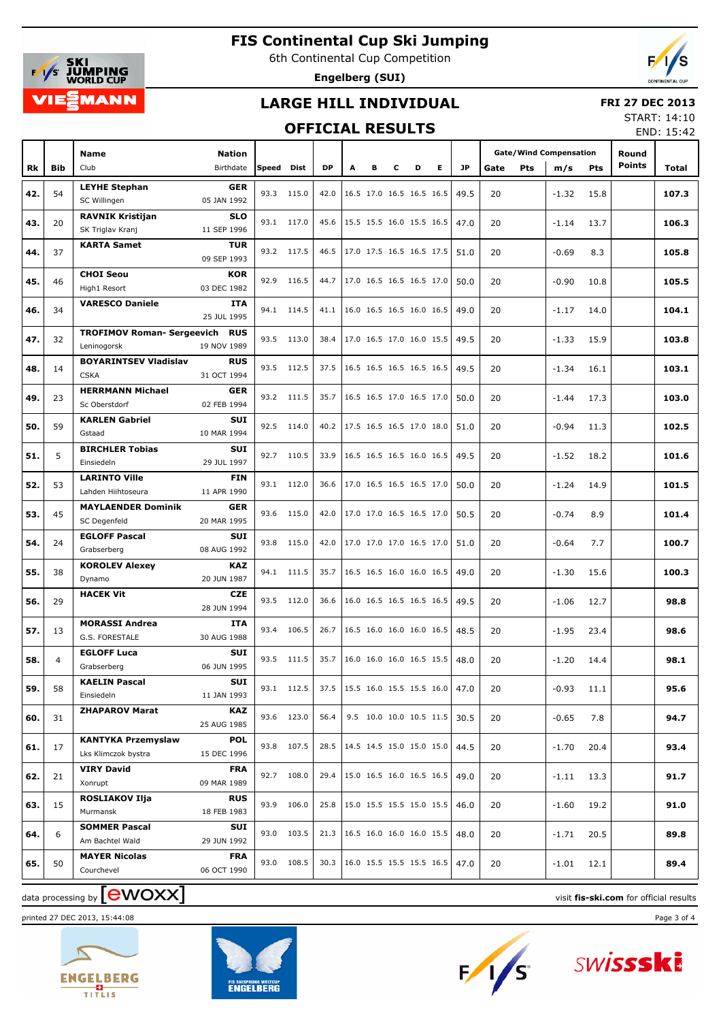

6th Continental Cup Competition

**Engelberg (SUI)**



#### **LARGE HILL INDIVIDUAL**

#### **FRI 27 DEC 2013**

#### **OFFICIAL RESULTS**

START: 14:10 END: 15:42

|     |                |                                       |                           |       |            |           |   |                          |   |   |   |           |      |     |                               |      |               | LIVU. 1J.4Z |
|-----|----------------|---------------------------------------|---------------------------|-------|------------|-----------|---|--------------------------|---|---|---|-----------|------|-----|-------------------------------|------|---------------|-------------|
|     |                | Name                                  | Nation                    |       |            |           |   |                          |   |   |   |           |      |     | <b>Gate/Wind Compensation</b> |      | Round         |             |
| Rk  | <b>Bib</b>     | Club                                  | Birthdate                 | Speed | Dist       | <b>DP</b> | А | в                        | c | D | Е | <b>JP</b> | Gate | Pts |                               | Pts  | <b>Points</b> | Total       |
|     |                |                                       |                           |       |            |           |   |                          |   |   |   |           |      |     | m/s                           |      |               |             |
| 42. | 54             | <b>LEYHE Stephan</b>                  | <b>GER</b>                |       | 93.3 115.0 | 42.0      |   | 16.5 17.0 16.5 16.5 16.5 |   |   |   | 49.5      | 20   |     | $-1.32$                       | 15.8 |               | 107.3       |
|     |                | SC Willingen                          | 05 JAN 1992               |       |            |           |   |                          |   |   |   |           |      |     |                               |      |               |             |
| 43. | 20             | <b>RAVNIK Kristijan</b>               | <b>SLO</b>                |       | 93.1 117.0 | 45.6      |   | 15.5 15.5 16.0 15.5 16.5 |   |   |   | 47.0      | 20   |     | $-1.14$                       | 13.7 |               | 106.3       |
|     |                | SK Triglav Kranj                      | 11 SEP 1996               |       |            |           |   |                          |   |   |   |           |      |     |                               |      |               |             |
| 44. | 37             | <b>KARTA Samet</b>                    | <b>TUR</b>                |       | 93.2 117.5 | 46.5      |   | 17.0 17.5 16.5 16.5 17.5 |   |   |   | 51.0      | 20   |     |                               |      |               |             |
|     |                |                                       | 09 SEP 1993               |       |            |           |   |                          |   |   |   |           |      |     | $-0.69$                       | 8.3  |               | 105.8       |
|     |                | <b>CHOI Seou</b>                      | <b>KOR</b>                |       | 92.9 116.5 | 44.7      |   | 17.0 16.5 16.5 16.5 17.0 |   |   |   |           |      |     |                               |      |               |             |
| 45. | 46             | High1 Resort                          | 03 DEC 1982               |       |            |           |   |                          |   |   |   | 50.0      | 20   |     | $-0.90$                       | 10.8 |               | 105.5       |
|     |                | <b>VARESCO Daniele</b>                | ITA                       |       |            |           |   |                          |   |   |   |           |      |     |                               |      |               |             |
| 46. | 34             |                                       | 25 JUL 1995               |       | 94.1 114.5 | 41.1      |   | 16.0 16.5 16.5 16.0 16.5 |   |   |   | 49.0      | 20   |     | $-1.17$                       | 14.0 |               | 104.1       |
|     |                | <b>TROFIMOV Roman- Sergeevich RUS</b> |                           |       |            |           |   |                          |   |   |   |           |      |     |                               |      |               |             |
| 47. | 32             | Leninogorsk                           | 19 NOV 1989               |       | 93.5 113.0 | 38.4      |   | 17.0 16.5 17.0 16.0 15.5 |   |   |   | 49.5      | 20   |     | $-1.33$                       | 15.9 |               | 103.8       |
|     |                | <b>BOYARINTSEV Vladislav</b>          | <b>RUS</b>                |       |            |           |   |                          |   |   |   |           |      |     |                               |      |               |             |
| 48. | 14             | <b>CSKA</b>                           | 31 OCT 1994               |       | 93.5 112.5 | 37.5      |   | 16.5 16.5 16.5 16.5 16.5 |   |   |   | 49.5      | 20   |     | $-1.34$                       | 16.1 |               | 103.1       |
|     |                | <b>HERRMANN Michael</b>               | <b>GER</b>                |       |            |           |   |                          |   |   |   |           |      |     |                               |      |               |             |
| 49. | 23             | Sc Oberstdorf                         | 02 FEB 1994               |       | 93.2 111.5 | 35.7      |   | 16.5 16.5 17.0 16.5 17.0 |   |   |   | 50.0      | 20   |     | $-1.44$                       | 17.3 |               | 103.0       |
|     |                | <b>KARLEN Gabriel</b>                 | <b>SUI</b>                |       |            |           |   |                          |   |   |   |           |      |     |                               |      |               |             |
| 50. | 59             | Gstaad                                | 10 MAR 1994               |       | 92.5 114.0 | 40.2      |   | 17.5 16.5 16.5 17.0 18.0 |   |   |   | 51.0      | 20   |     | $-0.94$                       | 11.3 |               | 102.5       |
|     |                | <b>BIRCHLER Tobias</b>                | <b>SUI</b>                |       |            |           |   |                          |   |   |   |           |      |     |                               |      |               |             |
| 51. | 5              | Einsiedeln                            | 29 JUL 1997               |       | 92.7 110.5 | 33.9      |   | 16.5 16.5 16.5 16.0 16.5 |   |   |   | 49.5      | 20   |     | $-1.52$                       | 18.2 |               | 101.6       |
|     |                | <b>LARINTO Ville</b>                  | <b>FIN</b>                |       |            |           |   |                          |   |   |   |           |      |     |                               |      |               |             |
| 52. | 53             | Lahden Hiihtoseura                    | 11 APR 1990               |       | 93.1 112.0 | 36.6      |   | 17.0 16.5 16.5 16.5 17.0 |   |   |   | 50.0      | 20   |     | $-1.24$                       | 14.9 |               | 101.5       |
|     |                | <b>MAYLAENDER Dominik</b>             | <b>GER</b>                |       |            |           |   |                          |   |   |   |           |      |     |                               |      |               |             |
| 53. | 45             | SC Degenfeld                          | 20 MAR 1995               |       | 93.6 115.0 | 42.0      |   | 17.0 17.0 16.5 16.5 17.0 |   |   |   | 50.5      | 20   |     | $-0.74$                       | 8.9  |               | 101.4       |
|     |                | <b>EGLOFF Pascal</b>                  | <b>SUI</b>                |       |            |           |   |                          |   |   |   |           |      |     |                               |      |               |             |
| 54. | 24             | Grabserberg                           | 08 AUG 1992               |       | 93.8 115.0 | 42.0      |   | 17.0 17.0 17.0 16.5 17.0 |   |   |   | 51.0      | 20   |     | $-0.64$                       | 7.7  |               | 100.7       |
|     |                | <b>KOROLEV Alexey</b>                 | <b>KAZ</b>                |       |            |           |   |                          |   |   |   |           |      |     |                               |      |               |             |
| 55. | 38             | Dynamo                                | 20 JUN 1987               |       | 94.1 111.5 | 35.7      |   | 16.5 16.5 16.0 16.0 16.5 |   |   |   | 49.0      | 20   |     | $-1.30$                       | 15.6 |               | 100.3       |
|     |                | <b>HACEK Vit</b>                      | <b>CZE</b>                |       |            |           |   |                          |   |   |   |           |      |     |                               |      |               |             |
| 56. | 29             |                                       | 28 JUN 1994               |       | 93.5 112.0 | 36.6      |   | 16.0 16.5 16.5 16.5 16.5 |   |   |   | 49.5      | 20   |     | $-1.06$                       | 12.7 |               | 98.8        |
|     |                | <b>MORASSI Andrea</b>                 | <b>ITA</b>                |       |            |           |   |                          |   |   |   |           |      |     |                               |      |               |             |
| 57. | 13             | G.S. FORESTALE                        | 30 AUG 1988               |       | 93.4 106.5 | 26.7      |   | 16.5 16.0 16.0 16.0 16.5 |   |   |   | 48.5      | 20   |     | $-1.95$                       | 23.4 |               | 98.6        |
|     |                | <b>EGLOFF Luca</b>                    | <b>SUI</b>                |       |            |           |   |                          |   |   |   |           |      |     |                               |      |               |             |
| 58. | $\overline{4}$ | Grabserberg                           | 06 JUN 1995               |       | 93.5 111.5 | 35.7      |   | 16.0 16.0 16.0 16.5 15.5 |   |   |   | 48.0      | 20   |     | $-1.20$                       | 14.4 |               | 98.1        |
|     |                | <b>KAELIN Pascal</b>                  | SUI                       |       |            |           |   |                          |   |   |   |           |      |     |                               |      |               |             |
| 59. | 58             | Einsiedeln                            | 11 JAN 1993               |       | 93.1 112.5 | 37.5      |   | 15.5 16.0 15.5 15.5 16.0 |   |   |   | 47.0      | 20   |     | $-0.93$                       | 11.1 |               | 95.6        |
|     |                | <b>ZHAPAROV Marat</b>                 | <b>KAZ</b>                |       |            |           |   |                          |   |   |   |           |      |     |                               |      |               |             |
| 60. | 31             |                                       | 25 AUG 1985               |       | 93.6 123.0 | 56.4      |   | 9.5 10.0 10.0 10.5 11.5  |   |   |   | 30.5      | 20   |     | $-0.65$                       | 7.8  |               | 94.7        |
|     |                | <b>KANTYKA Przemyslaw</b>             | <b>POL</b>                |       |            |           |   |                          |   |   |   |           |      |     |                               |      |               |             |
| 61. | 17             | Lks Klimczok bystra                   | 15 DEC 1996               |       | 93.8 107.5 | 28.5      |   | 14.5 14.5 15.0 15.0 15.0 |   |   |   | 44.5      | 20   |     | $-1.70$                       | 20.4 |               | 93.4        |
|     |                |                                       |                           |       |            |           |   |                          |   |   |   |           |      |     |                               |      |               |             |
| 62. | 21             | <b>VIRY David</b>                     | <b>FRA</b>                |       | 92.7 108.0 | 29.4      |   | 15.0 16.5 16.0 16.5 16.5 |   |   |   | 49.0      | 20   |     | $-1.11$                       | 13.3 |               | 91.7        |
|     |                | Xonrupt                               | 09 MAR 1989               |       |            |           |   |                          |   |   |   |           |      |     |                               |      |               |             |
| 63. | 15             | <b>ROSLIAKOV Ilja</b><br>Murmansk     | <b>RUS</b><br>18 FEB 1983 |       | 93.9 106.0 | 25.8      |   | 15.0 15.5 15.5 15.0 15.5 |   |   |   | 46.0      | 20   |     | $-1.60$                       | 19.2 |               | 91.0        |
|     |                |                                       |                           |       |            |           |   |                          |   |   |   |           |      |     |                               |      |               |             |
| 64. | 6              | <b>SOMMER Pascal</b>                  | SUI                       |       | 93.0 103.5 | 21.3      |   | 16.5 16.0 16.0 16.0 15.5 |   |   |   | 48.0      | 20   |     | $-1.71$                       | 20.5 |               | 89.8        |
|     |                | Am Bachtel Wald                       | 29 JUN 1992               |       |            |           |   |                          |   |   |   |           |      |     |                               |      |               |             |
| 65. | 50             | <b>MAYER Nicolas</b>                  | <b>FRA</b>                |       | 93.0 108.5 | 30.3      |   | 16.0 15.5 15.5 15.5 16.5 |   |   |   | 47.0      | 20   |     | $-1.01$                       | 12.1 |               | 89.4        |
|     |                | Courchevel                            | 06 OCT 1990               |       |            |           |   |                          |   |   |   |           |      |     |                               |      |               |             |

# data processing by **CWOXX** and  $\overline{C}$  and  $\overline{C}$  and  $\overline{C}$  and  $\overline{C}$  and  $\overline{C}$  and  $\overline{C}$  and  $\overline{C}$  and  $\overline{C}$  and  $\overline{C}$  and  $\overline{C}$  and  $\overline{C}$  and  $\overline{C}$  and  $\overline{C}$  and  $\overline{C}$  and  $\overline{C}$

printed 27 DEC 2013, 15:44:08 Page 3 of 4